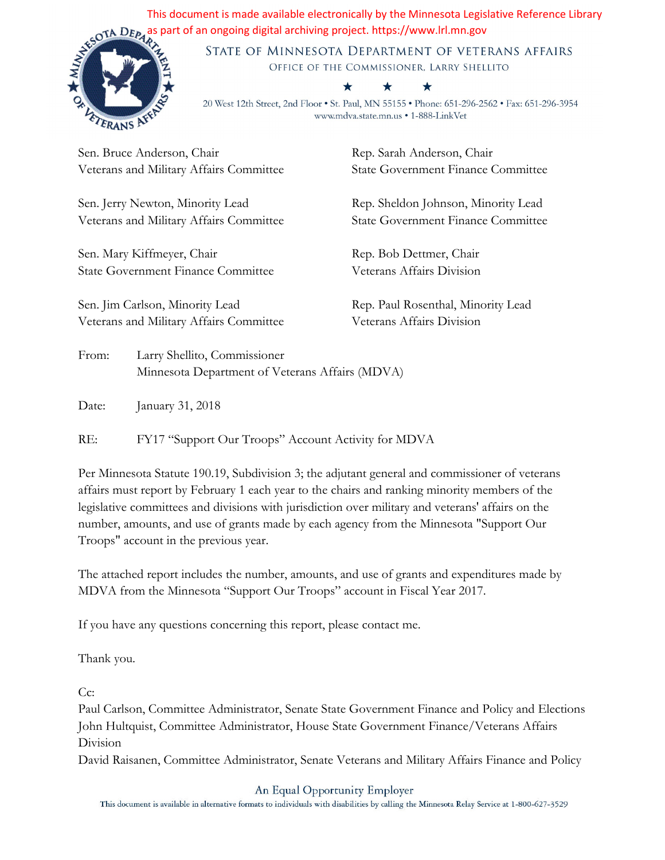This document is made available electronically by the Minnesota Legislative Reference Library and DEP<sub>4</sub> as part of an ongoing digital archiving project. https://www.lrl.mn.gov<br>
STATE OF MINNESOTA DEPARTMENT

 $\bigstar$ 



STATE OF MINNESOTA DEPARTMENT OF VETERANS AFFAIRS OFFICE OF THE COMMISSIONER, LARRY SHELLITO

## $\bigstar$

20 West 12th Street, 2nd Floor . St. Paul, MN 55155 . Phone: 651-296-2562 . Fax: 651-296-3954 www.mdva.state.mn.us • 1-888-LinkVet

Sen. Bruce Anderson, Chair Veterans and Military Affairs Committee

Sen. Jerry Newton, Minority Lead Veterans and Military Affairs Committee

Sen. Mary Kiffmeyer, Chair State Government Finance Committee

Sen. Jim Carlson, Minority Lead Veterans and Military Affairs Committee Rep. Sarah Anderson, Chair State Government Finance Committee

Rep. Sheldon Johnson, Minority Lead State Government Finance Committee

Rep. Bob Dettmer, Chair Veterans Affairs Division

Rep. Paul Rosenthal, Minority Lead Veterans Affairs Division

From: Larry Shellito, Commissioner Minnesota Department of Veterans Affairs (MDVA)

Date: January 31, 2018

RE: FY17 "Support Our Troops" Account Activity for MDVA

Per Minnesota Statute 190.19, Subdivision 3; the adjutant general and commissioner of veterans affairs must report by February 1 each year to the chairs and ranking minority members of the legislative committees and divisions with jurisdiction over military and veterans' affairs on the number, amounts, and use of grants made by each agency from the Minnesota "Support Our Troops" account in the previous year.

The attached report includes the number, amounts, and use of grants and expenditures made by MDVA from the Minnesota "Support Our Troops" account in Fiscal Year 2017.

If you have any questions concerning this report, please contact me.

Thank you.

Cc:

Paul Carlson, Committee Administrator, Senate State Government Finance and Policy and Elections John Hultquist, Committee Administrator, House State Government Finance/Veterans Affairs Division

David Raisanen, Committee Administrator, Senate Veterans and Military Affairs Finance and Policy

## An Equal Opportunity Employer

This document is available in alternative formats to individuals with disabilities by calling the Minnesota Relay Service at 1-800-627-3529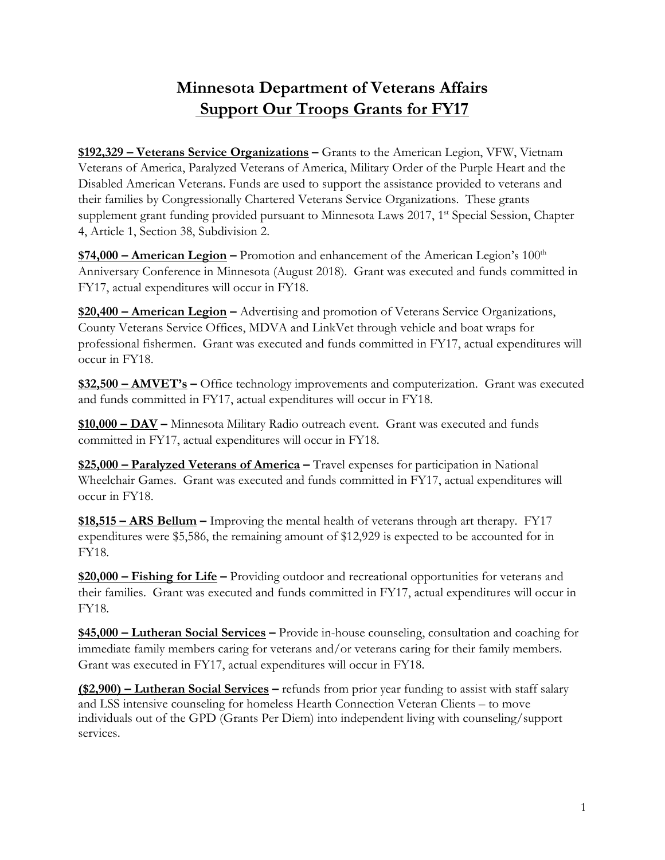## **Minnesota Department of Veterans Affairs Support Our Troops Grants for FY17**

**\$192,329 – Veterans Service Organizations –** Grants to the American Legion, VFW, Vietnam Veterans of America, Paralyzed Veterans of America, Military Order of the Purple Heart and the Disabled American Veterans. Funds are used to support the assistance provided to veterans and their families by Congressionally Chartered Veterans Service Organizations. These grants supplement grant funding provided pursuant to Minnesota Laws 2017, 1<sup>st</sup> Special Session, Chapter 4, Article 1, Section 38, Subdivision 2.

**<u>\$74,000 – American Legion</u>** – Promotion and enhancement of the American Legion's 100<sup>th</sup> Anniversary Conference in Minnesota (August 2018). Grant was executed and funds committed in FY17, actual expenditures will occur in FY18.

**\$20,400 – American Legion –** Advertising and promotion of Veterans Service Organizations, County Veterans Service Offices, MDVA and LinkVet through vehicle and boat wraps for professional fishermen. Grant was executed and funds committed in FY17, actual expenditures will occur in FY18.

**\$32,500 – AMVET's –** Office technology improvements and computerization. Grant was executed and funds committed in FY17, actual expenditures will occur in FY18.

**\$10,000 – DAV –** Minnesota Military Radio outreach event. Grant was executed and funds committed in FY17, actual expenditures will occur in FY18.

**\$25,000 – Paralyzed Veterans of America –** Travel expenses for participation in National Wheelchair Games. Grant was executed and funds committed in FY17, actual expenditures will occur in FY18.

**\$18,515 – ARS Bellum –** Improving the mental health of veterans through art therapy. FY17 expenditures were \$5,586, the remaining amount of \$12,929 is expected to be accounted for in FY18.

**\$20,000 – Fishing for Life –** Providing outdoor and recreational opportunities for veterans and their families. Grant was executed and funds committed in FY17, actual expenditures will occur in FY18.

**\$45,000 – Lutheran Social Services –** Provide in-house counseling, consultation and coaching for immediate family members caring for veterans and/or veterans caring for their family members. Grant was executed in FY17, actual expenditures will occur in FY18.

**(\$2,900) – Lutheran Social Services –** refunds from prior year funding to assist with staff salary and LSS intensive counseling for homeless Hearth Connection Veteran Clients – to move individuals out of the GPD (Grants Per Diem) into independent living with counseling/support services.